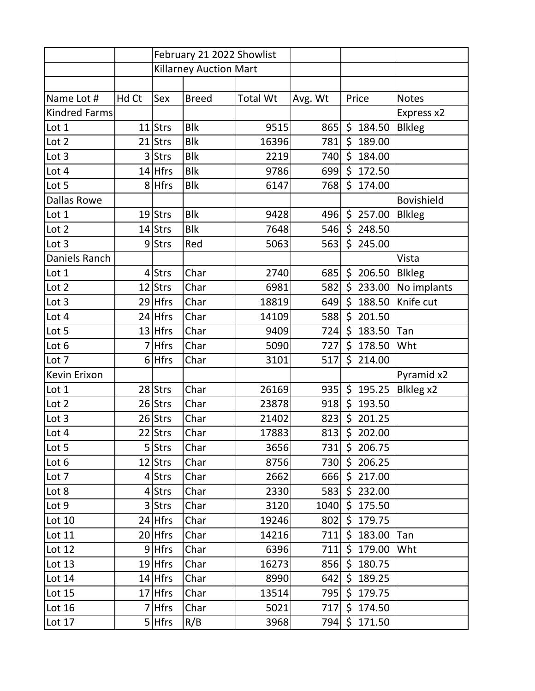|                      |       | February 21 2022 Showlist     |              |                 |         |         |              |                   |
|----------------------|-------|-------------------------------|--------------|-----------------|---------|---------|--------------|-------------------|
|                      |       | <b>Killarney Auction Mart</b> |              |                 |         |         |              |                   |
|                      |       |                               |              |                 |         |         |              |                   |
| Name Lot #           | Hd Ct | Sex                           | <b>Breed</b> | <b>Total Wt</b> | Avg. Wt |         | Price        | <b>Notes</b>      |
| <b>Kindred Farms</b> |       |                               |              |                 |         |         |              | Express x2        |
| Lot 1                |       | 11 Strs                       | <b>Blk</b>   | 9515            | 865     |         | \$184.50     | <b>Blkleg</b>     |
| Lot 2                |       | 21 Strs                       | <b>Blk</b>   | 16396           | 781     | \$      | 189.00       |                   |
| Lot 3                | 3     | <b>Strs</b>                   | <b>Blk</b>   | 2219            | 740     | $\zeta$ | 184.00       |                   |
| Lot 4                |       | 14 Hfrs                       | <b>Blk</b>   | 9786            | 699     | \$      | 172.50       |                   |
| Lot 5                |       | 8 Hfrs                        | <b>Blk</b>   | 6147            | 768     | \$      | 174.00       |                   |
| <b>Dallas Rowe</b>   |       |                               |              |                 |         |         |              | <b>Bovishield</b> |
| Lot 1                |       | $19$ Strs                     | <b>Blk</b>   | 9428            | 496     |         | \$257.00     | <b>Blkleg</b>     |
| Lot 2                |       | 14 Strs                       | <b>Blk</b>   | 7648            | 546     |         | \$248.50     |                   |
| Lot 3                |       | 9Strs                         | Red          | 5063            | 563     |         | \$245.00     |                   |
| Daniels Ranch        |       |                               |              |                 |         |         |              | Vista             |
| Lot 1                |       | 4 Strs                        | Char         | 2740            | 685     |         | \$206.50     | <b>Blkleg</b>     |
| Lot 2                |       | 12 Strs                       | Char         | 6981            | 582     |         | \$233.00     | No implants       |
| Lot 3                |       | 29 Hfrs                       | Char         | 18819           | 649     | \$      | 188.50       | Knife cut         |
| Lot 4                |       | 24 Hfrs                       | Char         | 14109           | 588     | \$      | 201.50       |                   |
| Lot 5                |       | 13 Hfrs                       | Char         | 9409            | 724     | \$      | 183.50       | Tan               |
| Lot 6                |       | 7 Hfrs                        | Char         | 5090            | 727     |         | \$178.50     | Wht               |
| Lot 7                |       | $6$ Hfrs                      | Char         | 3101            | 517     |         | \$214.00     |                   |
| Kevin Erixon         |       |                               |              |                 |         |         |              | Pyramid x2        |
| Lot 1                |       | 28 Strs                       | Char         | 26169           | 935     | \$      | 195.25       | Blkleg x2         |
| Lot 2                |       | 26 Strs                       | Char         | 23878           | 918     | \$      | 193.50       |                   |
| Lot 3                |       | 26 Strs                       | Char         | 21402           | 823     |         | \$201.25     |                   |
| Lot 4                |       | 22 Strs                       | Char         | 17883           | 813     | $\zeta$ | 202.00       |                   |
| Lot 5                |       | 5 Strs                        | Char         | 3656            |         |         | 731 \$206.75 |                   |
| Lot 6                |       | 12 Strs                       | Char         | 8756            |         |         | 730 \$206.25 |                   |
| Lot 7                |       | $4$ Strs                      | Char         | 2662            |         |         | 666 \$217.00 |                   |
| Lot 8                |       | $4$ Strs                      | Char         | 2330            |         |         | 583 \$232.00 |                   |
| Lot 9                |       | 3 Strs                        | Char         | 3120            | 1040    |         | \$175.50     |                   |
| Lot 10               |       | 24 Hfrs                       | Char         | 19246           | 802     |         | \$179.75     |                   |
| Lot 11               |       | 20 Hfrs                       | Char         | 14216           | 711     |         | \$183.00     | Tan               |
| Lot 12               |       | 9 Hfrs                        | Char         | 6396            | 711     |         | \$179.00     | Wht               |
| Lot 13               |       | $19$ Hfrs                     | Char         | 16273           | 856     |         | \$180.75     |                   |
| Lot 14               |       | 14 Hfrs                       | Char         | 8990            | 642     |         | \$189.25     |                   |
| Lot 15               |       | 17 Hfrs                       | Char         | 13514           | 795     |         | \$179.75     |                   |
| Lot 16               |       | 7 Hfrs                        | Char         | 5021            | 717     |         | \$174.50     |                   |
| Lot 17               |       | $5$ Hfrs                      | R/B          | 3968            |         |         | 794 \$171.50 |                   |